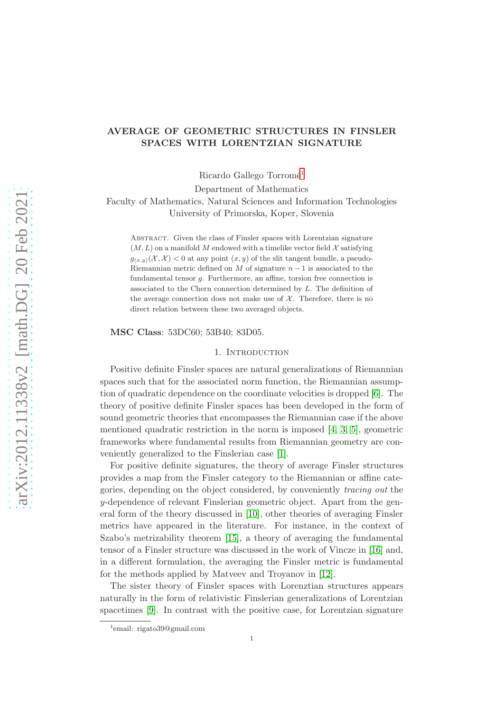# AVERAGE OF GEOMETRIC STRUCTURES IN FINSLER SPACES WITH LORENTZIAN SIGNATURE

Ricardo Gallego  $Torromé<sup>1</sup>$  $Torromé<sup>1</sup>$  $Torromé<sup>1</sup>$ 

Department of Mathematics

Faculty of Mathematics, Natural Sciences and Information Technologies University of Primorska, Koper, Slovenia

Abstract. Given the class of Finsler spaces with Lorentzian signature  $(M, L)$  on a manifold M endowed with a timelike vector field X satisfying  $g_{(x,y)}(\mathcal{X},\mathcal{X})$  < 0 at any point  $(x,y)$  of the slit tangent bundle, a pseudo-Riemannian metric defined on M of signature  $n-1$  is associated to the fundamental tensor g. Furthermore, an affine, torsion free connection is associated to the Chern connection determined by L. The definition of the average connection does not make use of  $X$ . Therefore, there is no direct relation between these two averaged objects.

MSC Class: 53DC60; 53B40; 83D05.

### 1. Introduction

Positive definite Finsler spaces are natural generalizations of Riemannian spaces such that for the associated norm function, the Riemannian assumption of quadratic dependence on the coordinate velocities is dropped [\[6\]](#page-10-0). The theory of positive definite Finsler spaces has been developed in the form of sound geometric theories that encompasses the Riemannian case if the above mentioned quadratic restriction in the norm is imposed [4, [3,](#page-9-0) [5\]](#page-9-1), geometric frameworks where fundamental results from Riemannian geometry are conveniently generalized to the Finslerian case [\[1\]](#page-9-2).

For positive definite signatures, the theory of average Finsler structures provides a map from the Finsler category to the Riemannian or affine categories, depending on the object considered, by conveniently tracing out the  $y$ -dependence of relevant Finslerian geometric object. Apart from the general form of the theory discussed in [\[10\]](#page-10-1), other theories of averaging Finsler metrics have appeared in the literature. For instance, in the context of Szabo's metrizability theorem [\[15\]](#page-10-2), a theory of averaging the fundamental tensor of a Finsler structure was discussed in the work of Vincze in [\[16\]](#page-10-3) and, in a different formulation, the averaging the Finsler metric is fundamental for the methods applied by Matveev and Troyanov in [12].

The sister theory of Finsler spaces with Lorenztian structures appears naturally in the form of relativistic Finslerian generalizations of Lorentzian spacetimes [9]. In contrast with the positive case, for Lorentzian signature

<span id="page-0-0"></span><sup>1</sup> email: rigato39@gmail.com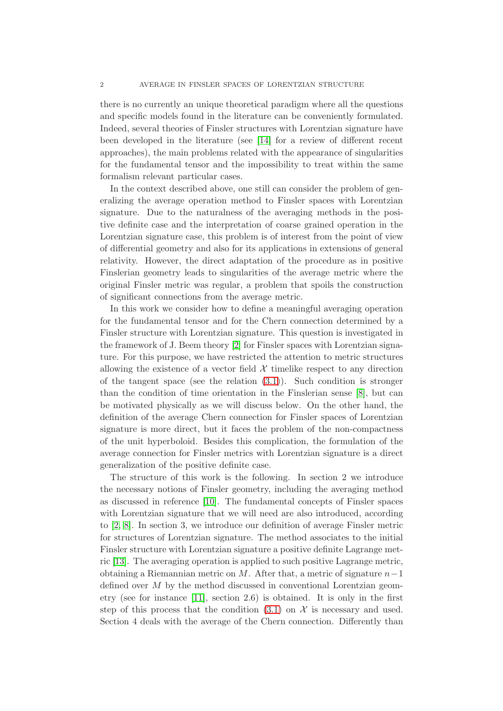there is no currently an unique theoretical paradigm where all the questions and specific models found in the literature can be conveniently formulated. Indeed, several theories of Finsler structures with Lorentzian signature have been developed in the literature (see [14] for a review of different recent approaches), the main problems related with the appearance of singularities for the fundamental tensor and the impossibility to treat within the same formalism relevant particular cases.

In the context described above, one still can consider the problem of generalizing the average operation method to Finsler spaces with Lorentzian signature. Due to the naturalness of the averaging methods in the positive definite case and the interpretation of coarse grained operation in the Lorentzian signature case, this problem is of interest from the point of view of differential geometry and also for its applications in extensions of general relativity. However, the direct adaptation of the procedure as in positive Finslerian geometry leads to singularities of the average metric where the original Finsler metric was regular, a problem that spoils the construction of significant connections from the average metric.

In this work we consider how to define a meaningful averaging operation for the fundamental tensor and for the Chern connection determined by a Finsler structure with Lorentzian signature. This question is investigated in the framework of J. Beem theory [\[2\]](#page-9-3) for Finsler spaces with Lorentzian signature. For this purpose, we have restricted the attention to metric structures allowing the existence of a vector field  $\mathcal X$  timelike respect to any direction of the tangent space (see the relation  $(3.1)$ ). Such condition is stronger than the condition of time orientation in the Finslerian sense [\[8\]](#page-10-4), but can be motivated physically as we will discuss below. On the other hand, the definition of the average Chern connection for Finsler spaces of Lorentzian signature is more direct, but it faces the problem of the non-compactness of the unit hyperboloid. Besides this complication, the formulation of the average connection for Finsler metrics with Lorentzian signature is a direct generalization of the positive definite case.

The structure of this work is the following. In section 2 we introduce the necessary notions of Finsler geometry, including the averaging method as discussed in reference [\[10\]](#page-10-1). The fundamental concepts of Finsler spaces with Lorentzian signature that we will need are also introduced, according to [\[2,](#page-9-3) [8\]](#page-10-4). In section 3, we introduce our definition of average Finsler metric for structures of Lorentzian signature. The method associates to the initial Finsler structure with Lorentzian signature a positive definite Lagrange metric [\[13\]](#page-10-5). The averaging operation is applied to such positive Lagrange metric, obtaining a Riemannian metric on M. After that, a metric of signature  $n-1$ defined over  $M$  by the method discussed in conventional Lorentzian geometry (see for instance [11], section 2.6) is obtained. It is only in the first step of this process that the condition [\(3.1\)](#page-5-0) on  $\mathcal X$  is necessary and used. Section 4 deals with the average of the Chern connection. Differently than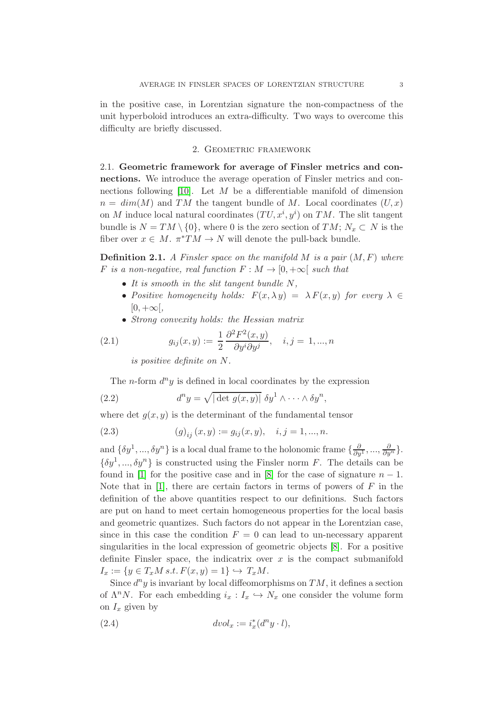in the positive case, in Lorentzian signature the non-compactness of the unit hyperboloid introduces an extra-difficulty. Two ways to overcome this difficulty are briefly discussed.

### 2. Geometric framework

2.1. Geometric framework for average of Finsler metrics and connections. We introduce the average operation of Finsler metrics and con-nections following [\[10\]](#page-10-1). Let  $M$  be a differentiable manifold of dimension  $n = dim(M)$  and TM the tangent bundle of M. Local coordinates  $(U, x)$ on M induce local natural coordinates  $(TU, x^i, y^i)$  on TM. The slit tangent bundle is  $N = TM \setminus \{0\}$ , where 0 is the zero section of  $TM$ ;  $N_x \subset N$  is the fiber over  $x \in M$ .  $\pi^*TM \to N$  will denote the pull-back bundle.

**Definition 2.1.** A Finsler space on the manifold M is a pair  $(M, F)$  where F is a non-negative, real function  $F : M \to [0, +\infty[$  such that

- It is smooth in the slit tangent bundle  $N$ ,
- Positive homogeneity holds:  $F(x, \lambda y) = \lambda F(x, y)$  for every  $\lambda \in$  $[0, +\infty[,$
- Strong convexity holds: the Hessian matrix

(2.1) 
$$
g_{ij}(x,y) := \frac{1}{2} \frac{\partial^2 F^2(x,y)}{\partial y^i \partial y^j}, \quad i,j = 1,...,n
$$

is positive definite on N.

The *n*-form  $d^n y$  is defined in local coordinates by the expression

(2.2) 
$$
d^n y = \sqrt{|\det g(x, y)|} \, \delta y^1 \wedge \cdots \wedge \delta y^n,
$$

where det  $g(x, y)$  is the determinant of the fundamental tensor

(2.3) 
$$
(g)_{ij}(x,y) := g_{ij}(x,y), \quad i,j = 1,...,n.
$$

and  $\{\delta y^1, ..., \delta y^n\}$  is a local dual frame to the holonomic frame  $\{\frac{\partial}{\partial y^1}, ..., \frac{\partial}{\partial y^n}\}.$  $\{\delta y^1, ..., \delta y^n\}$  is constructed using the Finsler norm F. The details can be found in [\[1\]](#page-9-2) for the positive case and in [\[8\]](#page-10-4) for the case of signature  $n-1$ . Note that in  $[1]$ , there are certain factors in terms of powers of F in the definition of the above quantities respect to our definitions. Such factors are put on hand to meet certain homogeneous properties for the local basis and geometric quantizes. Such factors do not appear in the Lorentzian case, since in this case the condition  $F = 0$  can lead to un-necessary apparent singularities in the local expression of geometric objects [\[8\]](#page-10-4). For a positive definite Finsler space, the indicatrix over  $x$  is the compact submanifold  $I_x := \{y \in T_xM \, s.t. \, F(x,y) = 1\} \hookrightarrow T_xM.$ 

Since  $d^n y$  is invariant by local diffeomorphisms on  $TM$ , it defines a section of  $\Lambda^n N$ . For each embedding  $i_x : I_x \hookrightarrow N_x$  one consider the volume form on  $I_x$  given by

(2.4) 
$$
dvol_x := i_x^*(d^n y \cdot l),
$$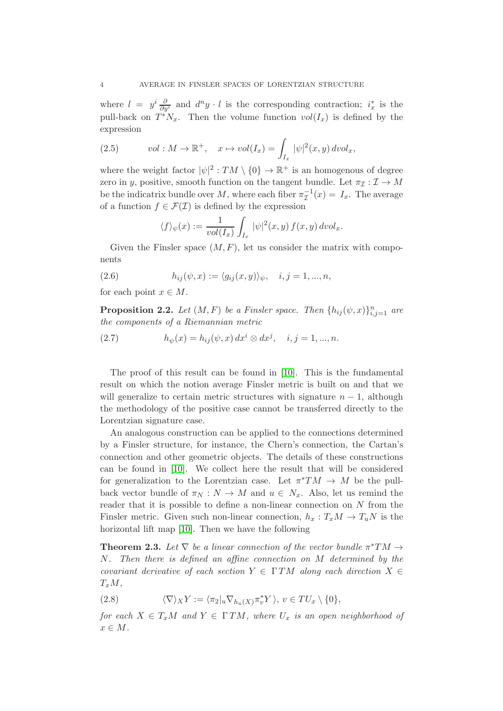where  $l = y^i \frac{\partial}{\partial y^i}$  and  $d^n y \cdot l$  is the corresponding contraction;  $i_x^*$  is the pull-back on  $T^*N_x$ . Then the volume function  $vol(I_x)$  is defined by the expression

(2.5) 
$$
vol: M \to \mathbb{R}^+, \quad x \mapsto vol(I_x) = \int_{I_x} |\psi|^2(x, y) \, dvol_x,
$$

where the weight factor  $|\psi|^2: TM \setminus \{0\} \to \mathbb{R}^+$  is an homogenous of degree zero in y, positive, smooth function on the tangent bundle. Let  $\pi_{\mathcal{I}} : \mathcal{I} \to M$ be the indicatrix bundle over M, where each fiber  $\pi^{-1}_1(x) = I_x$ . The average of a function  $f \in \mathcal{F}(\mathcal{I})$  is defined by the expression

$$
\langle f \rangle_{\psi}(x) := \frac{1}{vol(I_x)} \int_{I_x} |\psi|^2(x, y) f(x, y) dvol_x.
$$

Given the Finsler space  $(M, F)$ , let us consider the matrix with components

<span id="page-3-1"></span>(2.6) 
$$
h_{ij}(\psi, x) := \langle g_{ij}(x, y) \rangle_{\psi}, \quad i, j = 1, ..., n,
$$

for each point  $x \in M$ .

**Proposition 2.2.** Let  $(M, F)$  be a Finsler space. Then  $\{h_{ij}(\psi, x)\}_{i,j=1}^n$  are the components of a Riemannian metric

<span id="page-3-0"></span>(2.7) 
$$
h_{\psi}(x) = h_{ij}(\psi, x) dx^{i} \otimes dx^{j}, \quad i, j = 1, ..., n.
$$

The proof of this result can be found in [\[10\]](#page-10-1). This is the fundamental result on which the notion average Finsler metric is built on and that we will generalize to certain metric structures with signature  $n-1$ , although the methodology of the positive case cannot be transferred directly to the Lorentzian signature case.

An analogous construction can be applied to the connections determined by a Finsler structure, for instance, the Chern's connection, the Cartan's connection and other geometric objects. The details of these constructions can be found in [\[10\]](#page-10-1). We collect here the result that will be considered for generalization to the Lorentzian case. Let  $\pi^*TM \to M$  be the pullback vector bundle of  $\pi_N : N \to M$  and  $u \in N_x$ . Also, let us remind the reader that it is possible to define a non-linear connection on N from the Finsler metric. Given such non-linear connection,  $h_x : T_xM \to T_uN$  is the horizontal lift map [\[10\]](#page-10-1). Then we have the following

**Theorem 2.3.** Let  $\nabla$  be a linear connection of the vector bundle  $\pi^*TM \rightarrow$ N. Then there is defined an affine connection on M determined by the covariant derivative of each section  $Y \in \Gamma TM$  along each direction  $X \in$  $T_xM,$ 

<span id="page-3-2"></span>(2.8) 
$$
\langle \nabla \rangle_X Y := \langle \pi_2 |_u \nabla_{h_u(X)} \pi_v^* Y \rangle, \ v \in TU_x \setminus \{0\},
$$

for each  $X \in T_xM$  and  $Y \in \Gamma TM$ , where  $U_x$  is an open neighborhood of  $x \in M$ .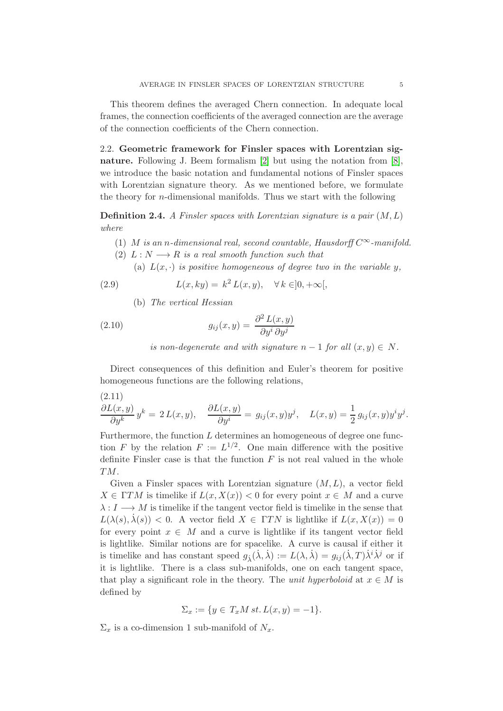This theorem defines the averaged Chern connection. In adequate local frames, the connection coefficients of the averaged connection are the average of the connection coefficients of the Chern connection.

2.2. Geometric framework for Finsler spaces with Lorentzian signature. Following J. Beem formalism [\[2\]](#page-9-3) but using the notation from [\[8\]](#page-10-4), we introduce the basic notation and fundamental notions of Finsler spaces with Lorentzian signature theory. As we mentioned before, we formulate the theory for *n*-dimensional manifolds. Thus we start with the following

**Definition 2.4.** A Finsler spaces with Lorentzian signature is a pair  $(M, L)$ where

- (1) M is an n-dimensional real, second countable, Hausdorff  $C^{\infty}$ -manifold.
- (2)  $L: N \longrightarrow R$  is a real smooth function such that
	- (a)  $L(x, \cdot)$  is positive homogeneous of degree two in the variable y,

(2.9) 
$$
L(x, ky) = k^2 L(x, y), \quad \forall k \in ]0, +\infty[,
$$

(b) The vertical Hessian

(2.10) 
$$
g_{ij}(x,y) = \frac{\partial^2 L(x,y)}{\partial y^i \partial y^j}
$$

is non-degenerate and with signature  $n-1$  for all  $(x, y) \in N$ .

Direct consequences of this definition and Euler's theorem for positive homogeneous functions are the following relations,

(2.11)  
\n
$$
\frac{\partial L(x,y)}{\partial y^k} y^k = 2 L(x,y), \quad \frac{\partial L(x,y)}{\partial y^i} = g_{ij}(x,y)y^j, \quad L(x,y) = \frac{1}{2} g_{ij}(x,y)y^i y^j.
$$

Furthermore, the function  $L$  determines an homogeneous of degree one function F by the relation  $F := L^{1/2}$ . One main difference with the positive definite Finsler case is that the function  $F$  is not real valued in the whole TM.

Given a Finsler spaces with Lorentzian signature  $(M, L)$ , a vector field  $X \in \Gamma TM$  is timelike if  $L(x, X(x)) < 0$  for every point  $x \in M$  and a curve  $\lambda : I \longrightarrow M$  is timelike if the tangent vector field is timelike in the sense that  $L(\lambda(s), \lambda(s)) < 0$ . A vector field  $X \in \Gamma TN$  is lightlike if  $L(x, X(x)) = 0$ for every point  $x \in M$  and a curve is lightlike if its tangent vector field is lightlike. Similar notions are for spacelike. A curve is causal if either it is timelike and has constant speed  $g_{\lambda}(\dot{\lambda}, \dot{\lambda}) := L(\lambda, \dot{\lambda}) = g_{ij}(\dot{\lambda}, T) \dot{\lambda}^i \dot{\lambda}^j$  or if it is lightlike. There is a class sub-manifolds, one on each tangent space, that play a significant role in the theory. The unit hyperboloid at  $x \in M$  is defined by

$$
\Sigma_x := \{ y \in T_x M \, st. \, L(x, y) = -1 \}.
$$

 $\Sigma_x$  is a co-dimension 1 sub-manifold of  $N_x$ .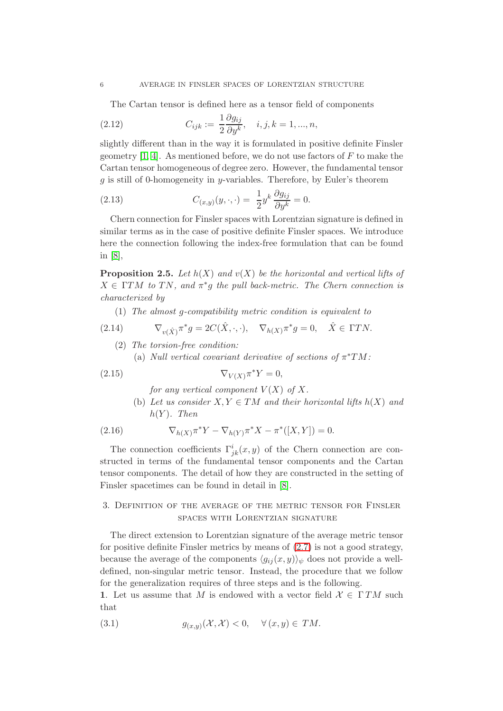The Cartan tensor is defined here as a tensor field of components

(2.12) 
$$
C_{ijk} := \frac{1}{2} \frac{\partial g_{ij}}{\partial y^k}, \quad i, j, k = 1, ..., n,
$$

slightly different than in the way it is formulated in positive definite Finsler geometry  $[1, 4]$ . As mentioned before, we do not use factors of F to make the Cartan tensor homogeneous of degree zero. However, the fundamental tensor  $g$  is still of 0-homogeneity in y-variables. Therefore, by Euler's theorem

(2.13) 
$$
C_{(x,y)}(y,\cdot,\cdot) = \frac{1}{2}y^k \frac{\partial g_{ij}}{\partial y^k} = 0.
$$

Chern connection for Finsler spaces with Lorentzian signature is defined in similar terms as in the case of positive definite Finsler spaces. We introduce here the connection following the index-free formulation that can be found in [\[8\]](#page-10-4),

**Proposition 2.5.** Let  $h(X)$  and  $v(X)$  be the horizontal and vertical lifts of  $X \in \Gamma TM$  to TN, and  $\pi^*g$  the pull back-metric. The Chern connection is characterized by

(1) The almost g-compatibility metric condition is equivalent to

(2.14) 
$$
\nabla_{v(\hat{X})} \pi^* g = 2C(\hat{X}, \cdot, \cdot), \quad \nabla_{h(X)} \pi^* g = 0, \quad \hat{X} \in \Gamma TN.
$$

- (2) The torsion-free condition:
	- (a) Null vertical covariant derivative of sections of  $\pi^*TM$ :

$$
\nabla_{V(X)} \pi^* Y = 0,
$$

for any vertical component  $V(X)$  of X.

(b) Let us consider  $X, Y \in TM$  and their horizontal lifts  $h(X)$  and  $h(Y)$ . Then

(2.16) 
$$
\nabla_{h(X)} \pi^* Y - \nabla_{h(Y)} \pi^* X - \pi^* ([X, Y]) = 0.
$$

The connection coefficients  $\Gamma^i_{jk}(x, y)$  of the Chern connection are constructed in terms of the fundamental tensor components and the Cartan tensor components. The detail of how they are constructed in the setting of Finsler spacetimes can be found in detail in [\[8\]](#page-10-4).

## 3. Definition of the average of the metric tensor for Finsler spaces with Lorentzian signature

The direct extension to Lorentzian signature of the average metric tensor for positive definite Finsler metrics by means of [\(2.7\)](#page-3-0) is not a good strategy, because the average of the components  $\langle g_{ij}(x, y) \rangle_{\psi}$  does not provide a welldefined, non-singular metric tensor. Instead, the procedure that we follow for the generalization requires of three steps and is the following.

1. Let us assume that M is endowed with a vector field  $\mathcal{X} \in \Gamma TM$  such that

<span id="page-5-0"></span>(3.1) 
$$
g_{(x,y)}(\mathcal{X},\mathcal{X}) < 0, \quad \forall (x,y) \in TM.
$$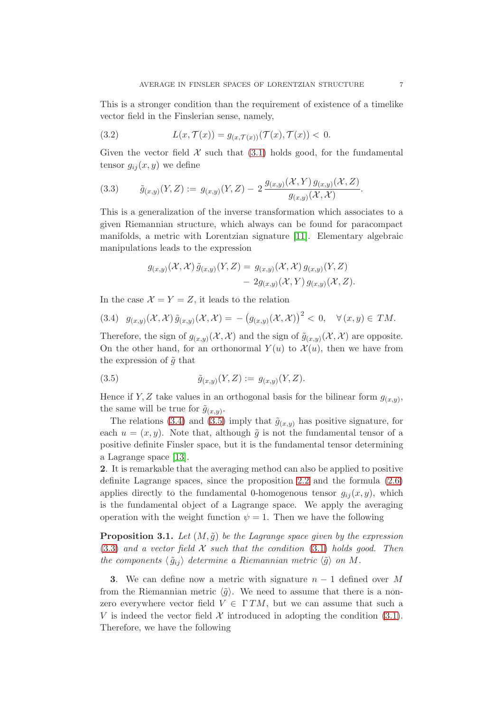This is a stronger condition than the requirement of existence of a timelike vector field in the Finslerian sense, namely,

<span id="page-6-3"></span>(3.2) 
$$
L(x, \mathcal{T}(x)) = g_{(x, \mathcal{T}(x))}(\mathcal{T}(x), \mathcal{T}(x)) < 0.
$$

Given the vector field  $\mathcal X$  such that [\(3.1\)](#page-5-0) holds good, for the fundamental tensor  $g_{ij}(x, y)$  we define

<span id="page-6-2"></span>(3.3) 
$$
\tilde{g}_{(x,y)}(Y,Z) := g_{(x,y)}(Y,Z) - 2 \frac{g_{(x,y)}(\mathcal{X}, Y) g_{(x,y)}(\mathcal{X}, Z)}{g_{(x,y)}(\mathcal{X}, \mathcal{X})}.
$$

This is a generalization of the inverse transformation which associates to a given Riemannian structure, which always can be found for paracompact manifolds, a metric with Lorentzian signature [11]. Elementary algebraic manipulations leads to the expression

$$
g_{(x,y)}(\mathcal{X},\mathcal{X})\tilde{g}_{(x,y)}(Y,Z) = g_{(x,y)}(\mathcal{X},\mathcal{X})g_{(x,y)}(Y,Z)
$$

$$
- 2g_{(x,y)}(\mathcal{X},Y)g_{(x,y)}(\mathcal{X},Z).
$$

In the case  $\mathcal{X} = Y = Z$ , it leads to the relation

<span id="page-6-0"></span>
$$
(3.4) \quad g_{(x,y)}(\mathcal{X},\mathcal{X})\,\tilde{g}_{(x,y)}(\mathcal{X},\mathcal{X}) = -\big(g_{(x,y)}(\mathcal{X},\mathcal{X})\big)^2 < 0, \quad \forall \,(x,y) \in TM.
$$

Therefore, the sign of  $g_{(x,y)}(\mathcal{X},\mathcal{X})$  and the sign of  $\tilde{g}_{(x,y)}(\mathcal{X},\mathcal{X})$  are opposite. On the other hand, for an orthonormal  $Y(u)$  to  $\mathcal{X}(u)$ , then we have from the expression of  $\tilde{g}$  that

<span id="page-6-1"></span>(3.5) 
$$
\tilde{g}_{(x,y)}(Y,Z) := g_{(x,y)}(Y,Z).
$$

Hence if Y, Z take values in an orthogonal basis for the bilinear form  $g_{(x,y)}$ , the same will be true for  $\tilde{g}_{(x,y)}$ .

The relations [\(3.4\)](#page-6-0) and [\(3.5\)](#page-6-1) imply that  $\tilde{g}_{(x,y)}$  has positive signature, for each  $u = (x, y)$ . Note that, although  $\tilde{q}$  is not the fundamental tensor of a positive definite Finsler space, but it is the fundamental tensor determining a Lagrange space [\[13\]](#page-10-5).

2. It is remarkable that the averaging method can also be applied to positive definite Lagrange spaces, since the proposition [2.2](#page-3-0) and the formula [\(2.6\)](#page-3-1) applies directly to the fundamental 0-homogenous tensor  $g_{ij}(x, y)$ , which is the fundamental object of a Lagrange space. We apply the averaging operation with the weight function  $\psi = 1$ . Then we have the following

**Proposition 3.1.** Let  $(M, \tilde{g})$  be the Lagrange space given by the expression  $(3.3)$  and a vector field X such that the condition  $(3.1)$  holds good. Then the components  $\langle \tilde{g}_{ij} \rangle$  determine a Riemannian metric  $\langle \tilde{g} \rangle$  on M.

3. We can define now a metric with signature  $n-1$  defined over M from the Riemannian metric  $\langle \tilde{g} \rangle$ . We need to assume that there is a nonzero everywhere vector field  $V \in \Gamma TM$ , but we can assume that such a V is indeed the vector field  $\mathcal X$  introduced in adopting the condition [\(3.1\)](#page-5-0). Therefore, we have the following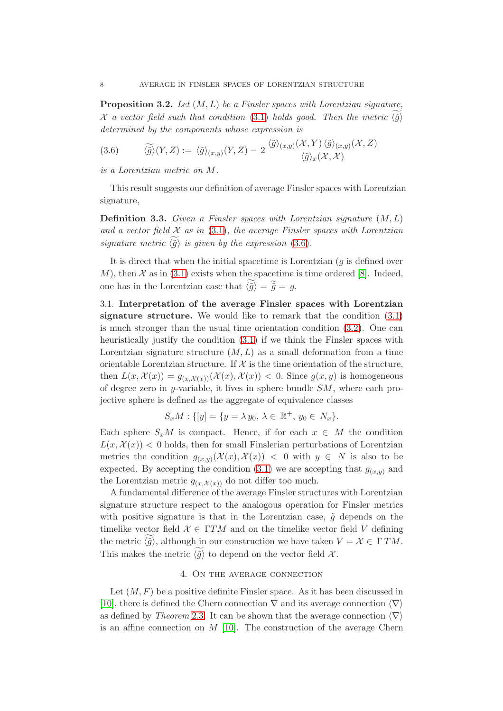**Proposition 3.2.** Let  $(M, L)$  be a Finsler spaces with Lorentzian signature, X a vector field such that condition [\(3.1\)](#page-5-0) holds good. Then the metric  $\langle \tilde{q} \rangle$ determined by the components whose expression is

<span id="page-7-0"></span>
$$
(3.6) \qquad \widetilde{\langle \tilde{g} \rangle}(Y,Z) := \langle \tilde{g} \rangle_{(x,y)}(Y,Z) - 2 \frac{\langle \tilde{g} \rangle_{(x,y)}(\mathcal{X},Y) \langle \tilde{g} \rangle_{(x,y)}(\mathcal{X},Z)}{\langle \tilde{g} \rangle_x(\mathcal{X},\mathcal{X})}
$$

is a Lorentzian metric on M.

This result suggests our definition of average Finsler spaces with Lorentzian signature,

**Definition 3.3.** Given a Finsler spaces with Lorentzian signature  $(M, L)$ and a vector field  $\mathcal X$  as in [\(3.1\)](#page-5-0), the average Finsler spaces with Lorentzian signature metric  $\langle \tilde{q} \rangle$  is given by the expression [\(3.6\)](#page-7-0).

It is direct that when the initial spacetime is Lorentzian  $(g$  is defined over M), then  $\mathcal X$  as in [\(3.1\)](#page-5-0) exists when the spacetime is time ordered [\[8\]](#page-10-4). Indeed, one has in the Lorentzian case that  $\langle \tilde{g} \rangle = \tilde{\tilde{g}} = g$ .

3.1. Interpretation of the average Finsler spaces with Lorentzian signature structure. We would like to remark that the condition [\(3.1\)](#page-5-0) is much stronger than the usual time orientation condition [\(3.2\)](#page-6-3). One can heuristically justify the condition [\(3.1\)](#page-5-0) if we think the Finsler spaces with Lorentzian signature structure  $(M, L)$  as a small deformation from a time orientable Lorentzian structure. If  $\mathcal X$  is the time orientation of the structure, then  $L(x, \mathcal{X}(x)) = g_{(x, \mathcal{X}(x))}(\mathcal{X}(x), \mathcal{X}(x)) < 0$ . Since  $g(x, y)$  is homogeneous of degree zero in y-variable, it lives in sphere bundle SM, where each projective sphere is defined as the aggregate of equivalence classes

$$
S_x M : \{ [y] = \{ y = \lambda y_0, \, \lambda \in \mathbb{R}^+, \, y_0 \in N_x \}.
$$

Each sphere  $S_xM$  is compact. Hence, if for each  $x \in M$  the condition  $L(x, \mathcal{X}(x))$  < 0 holds, then for small Finslerian perturbations of Lorentzian metrics the condition  $g_{(x,y)}(\mathcal{X}(x), \mathcal{X}(x)) < 0$  with  $y \in N$  is also to be expected. By accepting the condition [\(3.1\)](#page-5-0) we are accepting that  $g_{(x,y)}$  and the Lorentzian metric  $g_{(x,\mathcal{X}(x))}$  do not differ too much.

A fundamental difference of the average Finsler structures with Lorentzian signature structure respect to the analogous operation for Finsler metrics with positive signature is that in the Lorentzian case,  $\tilde{q}$  depends on the timelike vector field  $\mathcal{X} \in \Gamma TM$  and on the timelike vector field V defining the metric  $\langle \tilde{q} \rangle$ , although in our construction we have taken  $V = \mathcal{X} \in \Gamma TM$ . This makes the metric  $\langle \tilde{q} \rangle$  to depend on the vector field X.

### 4. On the average connection

Let  $(M, F)$  be a positive definite Finsler space. As it has been discussed in [\[10\]](#page-10-1), there is defined the Chern connection  $\nabla$  and its average connection  $\langle \nabla \rangle$ as defined by Theorem [2.3.](#page-3-2) It can be shown that the average connection  $\langle \nabla \rangle$ is an affine connection on  $M$  [\[10\]](#page-10-1). The construction of the average Chern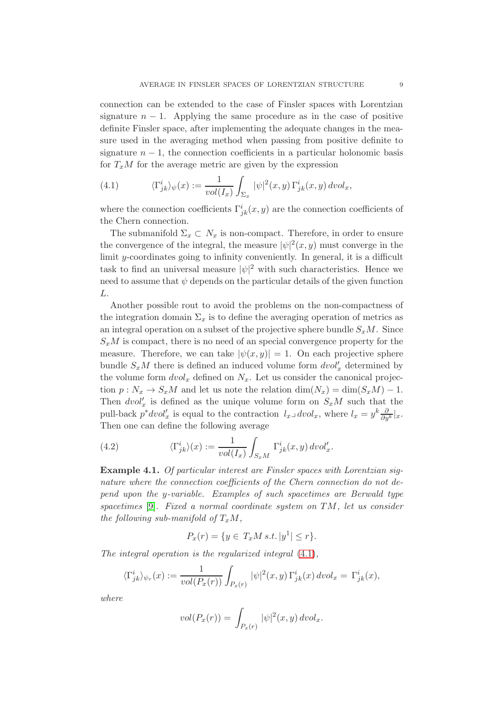connection can be extended to the case of Finsler spaces with Lorentzian signature  $n - 1$ . Applying the same procedure as in the case of positive definite Finsler space, after implementing the adequate changes in the measure used in the averaging method when passing from positive definite to signature  $n-1$ , the connection coefficients in a particular holonomic basis for  $T_xM$  for the average metric are given by the expression

<span id="page-8-0"></span>(4.1) 
$$
\langle \Gamma^i_{jk} \rangle_{\psi}(x) := \frac{1}{vol(I_x)} \int_{\Sigma_x} |\psi|^2(x, y) \Gamma^i_{jk}(x, y) \, dvol_x,
$$

where the connection coefficients  $\Gamma^i_{jk}(x, y)$  are the connection coefficients of the Chern connection.

The submanifold  $\Sigma_x \subset N_x$  is non-compact. Therefore, in order to ensure the convergence of the integral, the measure  $|\psi|^2(x, y)$  must converge in the limit y-coordinates going to infinity conveniently. In general, it is a difficult task to find an universal measure  $|\psi|^2$  with such characteristics. Hence we need to assume that  $\psi$  depends on the particular details of the given function L.

Another possible rout to avoid the problems on the non-compactness of the integration domain  $\Sigma_x$  is to define the averaging operation of metrics as an integral operation on a subset of the projective sphere bundle  $S_xM$ . Since  $S_xM$  is compact, there is no need of an special convergence property for the measure. Therefore, we can take  $|\psi(x, y)| = 1$ . On each projective sphere bundle  $S_xM$  there is defined an induced volume form  $dvol'_x$  determined by the volume form  $dvol_x$  defined on  $N_x$ . Let us consider the canonical projection  $p: N_x \to S_xM$  and let us note the relation  $\dim(N_x) = \dim(S_xM) - 1$ . Then  $dvol'_x$  is defined as the unique volume form on  $S_xM$  such that the pull-back  $p^*dvol'_x$  is equal to the contraction  $l_x \lrcorner dvol_x$ , where  $l_x = y^k \frac{\partial}{\partial y^k} |_x$ . Then one can define the following average

<span id="page-8-1"></span>(4.2) 
$$
\langle \Gamma^i_{jk} \rangle(x) := \frac{1}{vol(I_x)} \int_{S_x M} \Gamma^i_{jk}(x, y) \, dvol'_x.
$$

Example 4.1. Of particular interest are Finsler spaces with Lorentzian signature where the connection coefficients of the Chern connection do not depend upon the y-variable. Examples of such spacetimes are Berwald type spacetimes [9]. Fixed a normal coordinate system on TM, let us consider the following sub-manifold of  $T_xM$ ,

$$
P_x(r) = \{ y \in T_x M \, s.t. \, |y^1| \le r \}.
$$

The integral operation is the regularized integral [\(4.1\)](#page-8-0),

$$
\langle \Gamma^i_{jk} \rangle_{\psi_r}(x) := \frac{1}{vol(P_x(r))} \int_{P_x(r)} |\psi|^2(x, y) \Gamma^i_{jk}(x) dv \, dx = \Gamma^i_{jk}(x),
$$

where

$$
vol(P_x(r)) = \int_{P_x(r)} |\psi|^2(x, y) dvol_x.
$$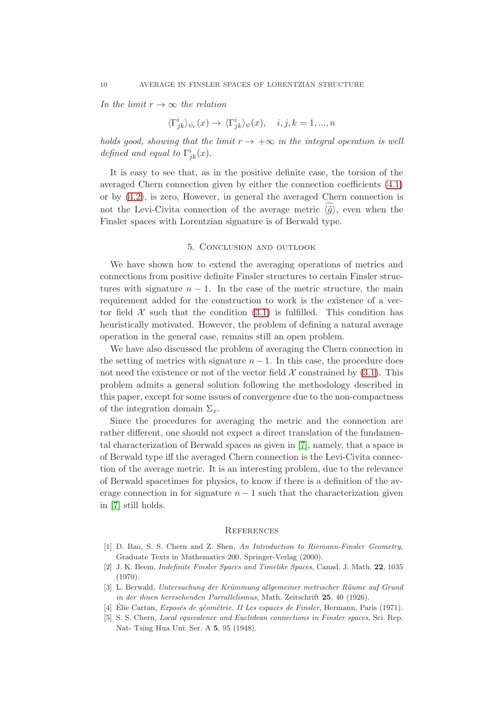In the limit  $r \to \infty$  the relation

$$
\langle \Gamma^{i}_{jk} \rangle_{\psi_r}(x) \to \langle \Gamma^{i}_{jk} \rangle_{\psi}(x), \quad i, j, k = 1, ..., n
$$

holds good, showing that the limit  $r \to +\infty$  in the integral operation is well defined and equal to  $\Gamma^i_{jk}(x)$ .

It is easy to see that, as in the positive definite case, the torsion of the averaged Chern connection given by either the connection coefficients [\(4.1\)](#page-8-0) or by [\(4.2\)](#page-8-1), is zero, However, in general the averaged Chern connection is not the Levi-Civita connection of the average metric  $\langle \tilde{q} \rangle$ , even when the Finsler spaces with Lorentzian signature is of Berwald type.

### 5. Conclusion and outlook

We have shown how to extend the averaging operations of metrics and connections from positive definite Finsler structures to certain Finsler structures with signature  $n - 1$ . In the case of the metric structure, the main requirement added for the construction to work is the existence of a vector field  $\mathcal X$  such that the condition [\(3.1\)](#page-5-0) is fulfilled. This condition has heuristically motivated. However, the problem of defining a natural average operation in the general case, remains still an open problem.

We have also discussed the problem of averaging the Chern connection in the setting of metrics with signature  $n-1$ . In this case, the procedure does not need the existence or not of the vector field  $\mathcal X$  constrained by [\(3.1\)](#page-5-0). This problem admits a general solution following the methodology described in this paper, except for some issues of convergence due to the non-compactness of the integration domain  $\Sigma_x$ .

Since the procedures for averaging the metric and the connection are rather different, one should not expect a direct translation of the fundamental characterization of Berwald spaces as given in [\[7\]](#page-10-6), namely, that a space is of Berwald type iff the averaged Chern connection is the Levi-Civita connection of the average metric. It is an interesting problem, due to the relevance of Berwald spacetimes for physics, to know if there is a definition of the average connection in for signature  $n-1$  such that the characterization given in [\[7\]](#page-10-6) still holds.

#### **REFERENCES**

- <span id="page-9-2"></span>[1] D. Bao, S. S. Chern and Z. Shen, An Introduction to Riemann-Finsler Geometry, Graduate Texts in Mathematics 200, Springer-Verlag (2000).
- <span id="page-9-3"></span>[2] J. K. Beem, Indefinite Finsler Spaces and Timelike Spaces, Canad. J. Math. 22, 1035 (1970).
- <span id="page-9-0"></span>[3] L. Berwald, Untersuchung der Krümmung allgemeiner metrischer Räume auf Grund in der ihnen herrschenden Parrallelismus, Math. Zeitschrift 25, 40 (1926).
- <span id="page-9-1"></span>[4] Élie Cartan, Exposés de géométrie. II Les espaces de Finsler, Hermann, Paris (1971).
- [5] S. S. Chern, Local equivalence and Euclidean connections in Finsler spaces, Sci. Rep. Nat- Tsing Hua Uni. Ser. A 5, 95 (1948).